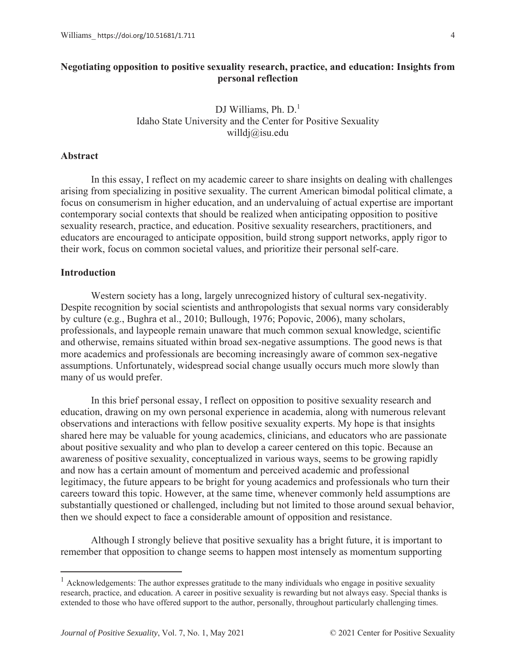# **Negotiating opposition to positive sexuality research, practice, and education: Insights from personal reflection**

DJ Williams, Ph.  $D<sup>1</sup>$ Idaho State University and the Center for Positive Sexuality willdj@isu.edu

### **Abstract**

In this essay, I reflect on my academic career to share insights on dealing with challenges arising from specializing in positive sexuality. The current American bimodal political climate, a focus on consumerism in higher education, and an undervaluing of actual expertise are important contemporary social contexts that should be realized when anticipating opposition to positive sexuality research, practice, and education. Positive sexuality researchers, practitioners, and educators are encouraged to anticipate opposition, build strong support networks, apply rigor to their work, focus on common societal values, and prioritize their personal self-care.

# **Introduction**

Western society has a long, largely unrecognized history of cultural sex-negativity. Despite recognition by social scientists and anthropologists that sexual norms vary considerably by culture (e.g., Bughra et al., 2010; Bullough, 1976; Popovic, 2006), many scholars, professionals, and laypeople remain unaware that much common sexual knowledge, scientific and otherwise, remains situated within broad sex-negative assumptions. The good news is that more academics and professionals are becoming increasingly aware of common sex-negative assumptions. Unfortunately, widespread social change usually occurs much more slowly than many of us would prefer.

In this brief personal essay, I reflect on opposition to positive sexuality research and education, drawing on my own personal experience in academia, along with numerous relevant observations and interactions with fellow positive sexuality experts. My hope is that insights shared here may be valuable for young academics, clinicians, and educators who are passionate about positive sexuality and who plan to develop a career centered on this topic. Because an awareness of positive sexuality, conceptualized in various ways, seems to be growing rapidly and now has a certain amount of momentum and perceived academic and professional legitimacy, the future appears to be bright for young academics and professionals who turn their careers toward this topic. However, at the same time, whenever commonly held assumptions are substantially questioned or challenged, including but not limited to those around sexual behavior, then we should expect to face a considerable amount of opposition and resistance.

Although I strongly believe that positive sexuality has a bright future, it is important to remember that opposition to change seems to happen most intensely as momentum supporting

<sup>&</sup>lt;sup>1</sup> Acknowledgements: The author expresses gratitude to the many individuals who engage in positive sexuality research, practice, and education. A career in positive sexuality is rewarding but not always easy. Special thanks is extended to those who have offered support to the author, personally, throughout particularly challenging times.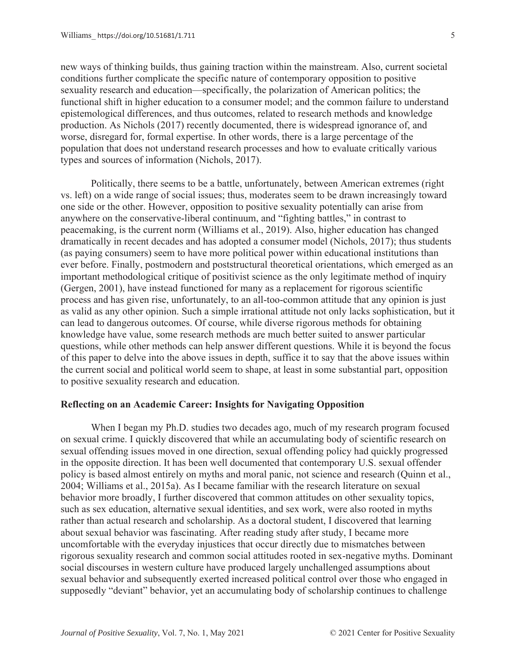new ways of thinking builds, thus gaining traction within the mainstream. Also, current societal conditions further complicate the specific nature of contemporary opposition to positive sexuality research and education—specifically, the polarization of American politics; the functional shift in higher education to a consumer model; and the common failure to understand epistemological differences, and thus outcomes, related to research methods and knowledge production. As Nichols (2017) recently documented, there is widespread ignorance of, and worse, disregard for, formal expertise. In other words, there is a large percentage of the population that does not understand research processes and how to evaluate critically various types and sources of information (Nichols, 2017).

Politically, there seems to be a battle, unfortunately, between American extremes (right vs. left) on a wide range of social issues; thus, moderates seem to be drawn increasingly toward one side or the other. However, opposition to positive sexuality potentially can arise from anywhere on the conservative-liberal continuum, and "fighting battles," in contrast to peacemaking, is the current norm (Williams et al., 2019). Also, higher education has changed dramatically in recent decades and has adopted a consumer model (Nichols, 2017); thus students (as paying consumers) seem to have more political power within educational institutions than ever before. Finally, postmodern and poststructural theoretical orientations, which emerged as an important methodological critique of positivist science as the only legitimate method of inquiry (Gergen, 2001), have instead functioned for many as a replacement for rigorous scientific process and has given rise, unfortunately, to an all-too-common attitude that any opinion is just as valid as any other opinion. Such a simple irrational attitude not only lacks sophistication, but it can lead to dangerous outcomes. Of course, while diverse rigorous methods for obtaining knowledge have value, some research methods are much better suited to answer particular questions, while other methods can help answer different questions. While it is beyond the focus of this paper to delve into the above issues in depth, suffice it to say that the above issues within the current social and political world seem to shape, at least in some substantial part, opposition to positive sexuality research and education.

# **Reflecting on an Academic Career: Insights for Navigating Opposition**

When I began my Ph.D. studies two decades ago, much of my research program focused on sexual crime. I quickly discovered that while an accumulating body of scientific research on sexual offending issues moved in one direction, sexual offending policy had quickly progressed in the opposite direction. It has been well documented that contemporary U.S. sexual offender policy is based almost entirely on myths and moral panic, not science and research (Quinn et al., 2004; Williams et al., 2015a). As I became familiar with the research literature on sexual behavior more broadly, I further discovered that common attitudes on other sexuality topics, such as sex education, alternative sexual identities, and sex work, were also rooted in myths rather than actual research and scholarship. As a doctoral student, I discovered that learning about sexual behavior was fascinating. After reading study after study, I became more uncomfortable with the everyday injustices that occur directly due to mismatches between rigorous sexuality research and common social attitudes rooted in sex-negative myths. Dominant social discourses in western culture have produced largely unchallenged assumptions about sexual behavior and subsequently exerted increased political control over those who engaged in supposedly "deviant" behavior, yet an accumulating body of scholarship continues to challenge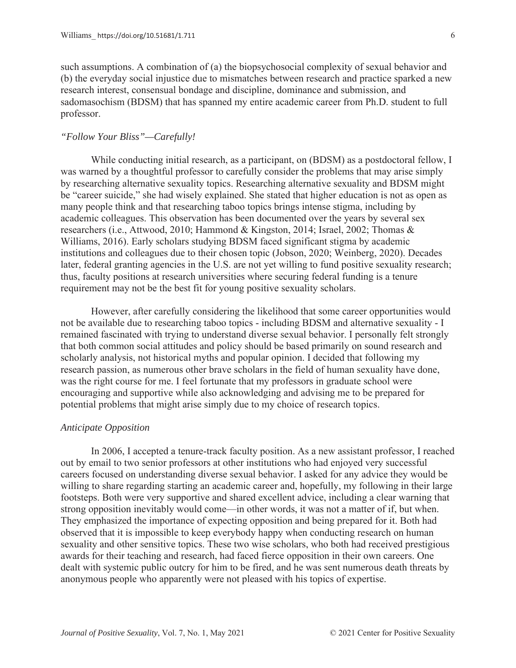such assumptions. A combination of (a) the biopsychosocial complexity of sexual behavior and (b) the everyday social injustice due to mismatches between research and practice sparked a new research interest, consensual bondage and discipline, dominance and submission, and sadomasochism (BDSM) that has spanned my entire academic career from Ph.D. student to full professor.

# *"Follow Your Bliss"—Carefully!*

While conducting initial research, as a participant, on (BDSM) as a postdoctoral fellow, I was warned by a thoughtful professor to carefully consider the problems that may arise simply by researching alternative sexuality topics. Researching alternative sexuality and BDSM might be "career suicide," she had wisely explained. She stated that higher education is not as open as many people think and that researching taboo topics brings intense stigma, including by academic colleagues. This observation has been documented over the years by several sex researchers (i.e., Attwood, 2010; Hammond & Kingston, 2014; Israel, 2002; Thomas & Williams, 2016). Early scholars studying BDSM faced significant stigma by academic institutions and colleagues due to their chosen topic (Jobson, 2020; Weinberg, 2020). Decades later, federal granting agencies in the U.S. are not yet willing to fund positive sexuality research; thus, faculty positions at research universities where securing federal funding is a tenure requirement may not be the best fit for young positive sexuality scholars.

However, after carefully considering the likelihood that some career opportunities would not be available due to researching taboo topics - including BDSM and alternative sexuality - I remained fascinated with trying to understand diverse sexual behavior. I personally felt strongly that both common social attitudes and policy should be based primarily on sound research and scholarly analysis, not historical myths and popular opinion. I decided that following my research passion, as numerous other brave scholars in the field of human sexuality have done, was the right course for me. I feel fortunate that my professors in graduate school were encouraging and supportive while also acknowledging and advising me to be prepared for potential problems that might arise simply due to my choice of research topics.

#### *Anticipate Opposition*

In 2006, I accepted a tenure-track faculty position. As a new assistant professor, I reached out by email to two senior professors at other institutions who had enjoyed very successful careers focused on understanding diverse sexual behavior. I asked for any advice they would be willing to share regarding starting an academic career and, hopefully, my following in their large footsteps. Both were very supportive and shared excellent advice, including a clear warning that strong opposition inevitably would come—in other words, it was not a matter of if, but when. They emphasized the importance of expecting opposition and being prepared for it. Both had observed that it is impossible to keep everybody happy when conducting research on human sexuality and other sensitive topics. These two wise scholars, who both had received prestigious awards for their teaching and research, had faced fierce opposition in their own careers. One dealt with systemic public outcry for him to be fired, and he was sent numerous death threats by anonymous people who apparently were not pleased with his topics of expertise.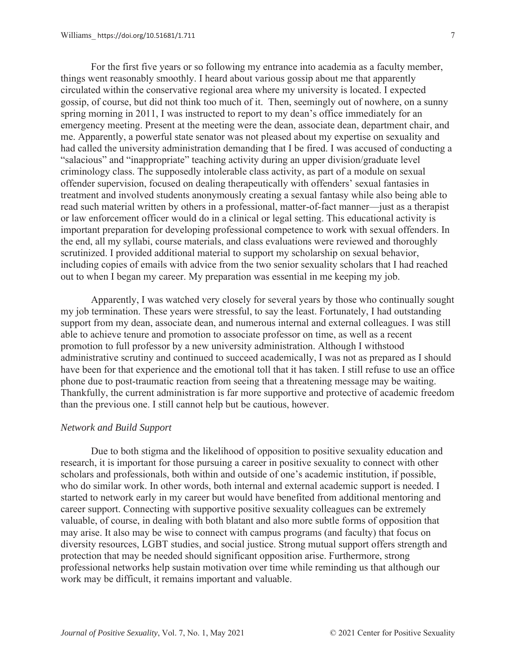For the first five years or so following my entrance into academia as a faculty member, things went reasonably smoothly. I heard about various gossip about me that apparently circulated within the conservative regional area where my university is located. I expected gossip, of course, but did not think too much of it. Then, seemingly out of nowhere, on a sunny spring morning in 2011, I was instructed to report to my dean's office immediately for an emergency meeting. Present at the meeting were the dean, associate dean, department chair, and me. Apparently, a powerful state senator was not pleased about my expertise on sexuality and had called the university administration demanding that I be fired. I was accused of conducting a "salacious" and "inappropriate" teaching activity during an upper division/graduate level criminology class. The supposedly intolerable class activity, as part of a module on sexual offender supervision, focused on dealing therapeutically with offenders' sexual fantasies in treatment and involved students anonymously creating a sexual fantasy while also being able to read such material written by others in a professional, matter-of-fact manner—just as a therapist or law enforcement officer would do in a clinical or legal setting. This educational activity is important preparation for developing professional competence to work with sexual offenders. In the end, all my syllabi, course materials, and class evaluations were reviewed and thoroughly scrutinized. I provided additional material to support my scholarship on sexual behavior, including copies of emails with advice from the two senior sexuality scholars that I had reached out to when I began my career. My preparation was essential in me keeping my job.

Apparently, I was watched very closely for several years by those who continually sought my job termination. These years were stressful, to say the least. Fortunately, I had outstanding support from my dean, associate dean, and numerous internal and external colleagues. I was still able to achieve tenure and promotion to associate professor on time, as well as a recent promotion to full professor by a new university administration. Although I withstood administrative scrutiny and continued to succeed academically, I was not as prepared as I should have been for that experience and the emotional toll that it has taken. I still refuse to use an office phone due to post-traumatic reaction from seeing that a threatening message may be waiting. Thankfully, the current administration is far more supportive and protective of academic freedom than the previous one. I still cannot help but be cautious, however.

#### *Network and Build Support*

Due to both stigma and the likelihood of opposition to positive sexuality education and research, it is important for those pursuing a career in positive sexuality to connect with other scholars and professionals, both within and outside of one's academic institution, if possible, who do similar work. In other words, both internal and external academic support is needed. I started to network early in my career but would have benefited from additional mentoring and career support. Connecting with supportive positive sexuality colleagues can be extremely valuable, of course, in dealing with both blatant and also more subtle forms of opposition that may arise. It also may be wise to connect with campus programs (and faculty) that focus on diversity resources, LGBT studies, and social justice. Strong mutual support offers strength and protection that may be needed should significant opposition arise. Furthermore, strong professional networks help sustain motivation over time while reminding us that although our work may be difficult, it remains important and valuable.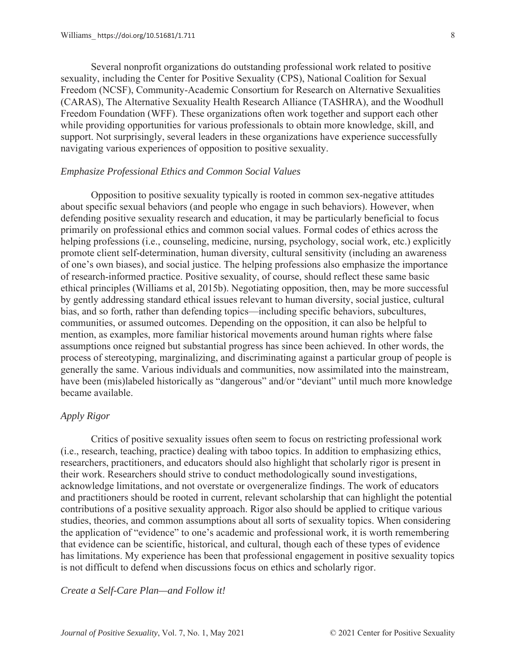Several nonprofit organizations do outstanding professional work related to positive sexuality, including the Center for Positive Sexuality (CPS), National Coalition for Sexual Freedom (NCSF), Community-Academic Consortium for Research on Alternative Sexualities (CARAS), The Alternative Sexuality Health Research Alliance (TASHRA), and the Woodhull Freedom Foundation (WFF). These organizations often work together and support each other while providing opportunities for various professionals to obtain more knowledge, skill, and support. Not surprisingly, several leaders in these organizations have experience successfully navigating various experiences of opposition to positive sexuality.

# *Emphasize Professional Ethics and Common Social Values*

Opposition to positive sexuality typically is rooted in common sex-negative attitudes about specific sexual behaviors (and people who engage in such behaviors). However, when defending positive sexuality research and education, it may be particularly beneficial to focus primarily on professional ethics and common social values. Formal codes of ethics across the helping professions (i.e., counseling, medicine, nursing, psychology, social work, etc.) explicitly promote client self-determination, human diversity, cultural sensitivity (including an awareness of one's own biases), and social justice. The helping professions also emphasize the importance of research-informed practice. Positive sexuality, of course, should reflect these same basic ethical principles (Williams et al, 2015b). Negotiating opposition, then, may be more successful by gently addressing standard ethical issues relevant to human diversity, social justice, cultural bias, and so forth, rather than defending topics—including specific behaviors, subcultures, communities, or assumed outcomes. Depending on the opposition, it can also be helpful to mention, as examples, more familiar historical movements around human rights where false assumptions once reigned but substantial progress has since been achieved. In other words, the process of stereotyping, marginalizing, and discriminating against a particular group of people is generally the same. Various individuals and communities, now assimilated into the mainstream, have been (mis)labeled historically as "dangerous" and/or "deviant" until much more knowledge became available.

### *Apply Rigor*

Critics of positive sexuality issues often seem to focus on restricting professional work (i.e., research, teaching, practice) dealing with taboo topics. In addition to emphasizing ethics, researchers, practitioners, and educators should also highlight that scholarly rigor is present in their work. Researchers should strive to conduct methodologically sound investigations, acknowledge limitations, and not overstate or overgeneralize findings. The work of educators and practitioners should be rooted in current, relevant scholarship that can highlight the potential contributions of a positive sexuality approach. Rigor also should be applied to critique various studies, theories, and common assumptions about all sorts of sexuality topics. When considering the application of "evidence" to one's academic and professional work, it is worth remembering that evidence can be scientific, historical, and cultural, though each of these types of evidence has limitations. My experience has been that professional engagement in positive sexuality topics is not difficult to defend when discussions focus on ethics and scholarly rigor.

*Create a Self-Care Plan—and Follow it!*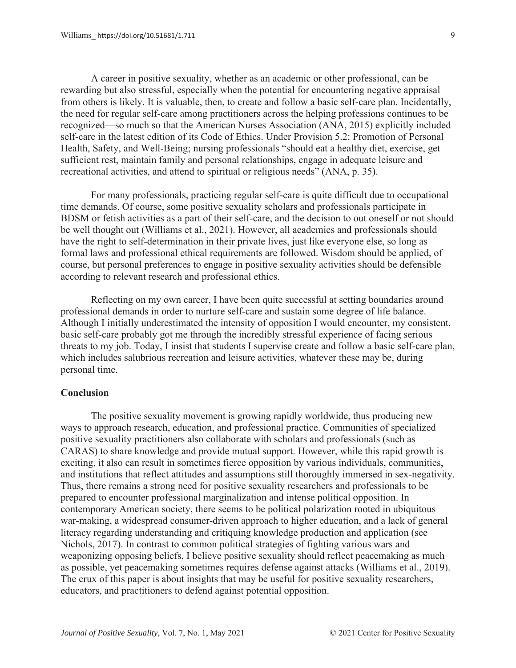A career in positive sexuality, whether as an academic or other professional, can be rewarding but also stressful, especially when the potential for encountering negative appraisal from others is likely. It is valuable, then, to create and follow a basic self-care plan. Incidentally, the need for regular self-care among practitioners across the helping professions continues to be recognized—so much so that the American Nurses Association (ANA, 2015) explicitly included self-care in the latest edition of its Code of Ethics. Under Provision 5.2: Promotion of Personal Health, Safety, and Well-Being; nursing professionals "should eat a healthy diet, exercise, get sufficient rest, maintain family and personal relationships, engage in adequate leisure and recreational activities, and attend to spiritual or religious needs" (ANA, p. 35).

For many professionals, practicing regular self-care is quite difficult due to occupational time demands. Of course, some positive sexuality scholars and professionals participate in BDSM or fetish activities as a part of their self-care, and the decision to out oneself or not should be well thought out (Williams et al., 2021). However, all academics and professionals should have the right to self-determination in their private lives, just like everyone else, so long as formal laws and professional ethical requirements are followed. Wisdom should be applied, of course, but personal preferences to engage in positive sexuality activities should be defensible according to relevant research and professional ethics.

Reflecting on my own career, I have been quite successful at setting boundaries around professional demands in order to nurture self-care and sustain some degree of life balance. Although I initially underestimated the intensity of opposition I would encounter, my consistent, basic self-care probably got me through the incredibly stressful experience of facing serious threats to my job. Today, I insist that students I supervise create and follow a basic self-care plan, which includes salubrious recreation and leisure activities, whatever these may be, during personal time.

# **Conclusion**

The positive sexuality movement is growing rapidly worldwide, thus producing new ways to approach research, education, and professional practice. Communities of specialized positive sexuality practitioners also collaborate with scholars and professionals (such as CARAS) to share knowledge and provide mutual support. However, while this rapid growth is exciting, it also can result in sometimes fierce opposition by various individuals, communities, and institutions that reflect attitudes and assumptions still thoroughly immersed in sex-negativity. Thus, there remains a strong need for positive sexuality researchers and professionals to be prepared to encounter professional marginalization and intense political opposition. In contemporary American society, there seems to be political polarization rooted in ubiquitous war-making, a widespread consumer-driven approach to higher education, and a lack of general literacy regarding understanding and critiquing knowledge production and application (see Nichols, 2017). In contrast to common political strategies of fighting various wars and weaponizing opposing beliefs, I believe positive sexuality should reflect peacemaking as much as possible, yet peacemaking sometimes requires defense against attacks (Williams et al., 2019). The crux of this paper is about insights that may be useful for positive sexuality researchers, educators, and practitioners to defend against potential opposition.